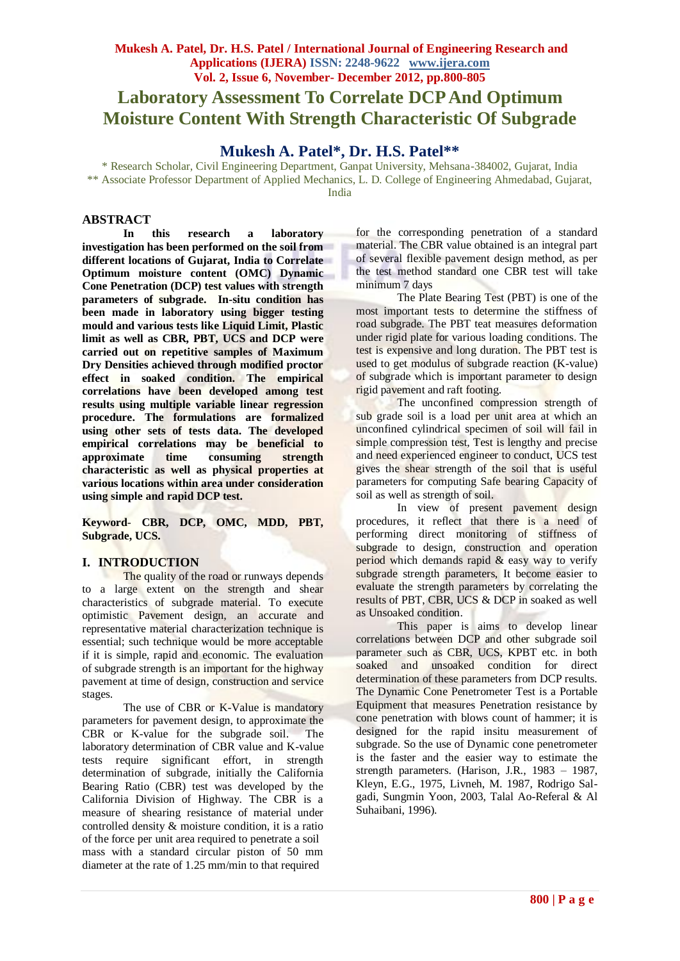# **Laboratory Assessment To Correlate DCP And Optimum Moisture Content With Strength Characteristic Of Subgrade**

## **Mukesh A. Patel\*, Dr. H.S. Patel\*\***

\* Research Scholar, Civil Engineering Department, Ganpat University, Mehsana-384002, Gujarat, India \*\* Associate Professor Department of Applied Mechanics, L. D. College of Engineering Ahmedabad, Gujarat, India

### **ABSTRACT**

**In this research a laboratory investigation has been performed on the soil from different locations of Gujarat, India to Correlate Optimum moisture content (OMC) Dynamic Cone Penetration (DCP) test values with strength parameters of subgrade. In-situ condition has been made in laboratory using bigger testing mould and various tests like Liquid Limit, Plastic limit as well as CBR, PBT, UCS and DCP were carried out on repetitive samples of Maximum Dry Densities achieved through modified proctor effect in soaked condition. The empirical correlations have been developed among test results using multiple variable linear regression procedure. The formulations are formalized using other sets of tests data. The developed empirical correlations may be beneficial to approximate time consuming strength characteristic as well as physical properties at various locations within area under consideration using simple and rapid DCP test.**

**Keyword***-* **CBR, DCP, OMC, MDD, PBT, Subgrade, UCS.**

### **I. INTRODUCTION**

The quality of the road or runways depends to a large extent on the strength and shear characteristics of subgrade material. To execute optimistic Pavement design, an accurate and representative material characterization technique is essential; such technique would be more acceptable if it is simple, rapid and economic. The evaluation of subgrade strength is an important for the highway pavement at time of design, construction and service stages.

The use of CBR or K-Value is mandatory parameters for pavement design, to approximate the CBR or K-value for the subgrade soil. The laboratory determination of CBR value and K-value tests require significant effort, in strength determination of subgrade, initially the California Bearing Ratio (CBR) test was developed by the California Division of Highway. The CBR is a measure of shearing resistance of material under controlled density & moisture condition, it is a ratio of the force per unit area required to penetrate a soil mass with a standard circular piston of 50 mm diameter at the rate of 1.25 mm/min to that required

for the corresponding penetration of a standard material. The CBR value obtained is an integral part of several flexible pavement design method, as per the test method standard one CBR test will take minimum 7 days

The Plate Bearing Test (PBT) is one of the most important tests to determine the stiffness of road subgrade. The PBT teat measures deformation under rigid plate for various loading conditions. The test is expensive and long duration. The PBT test is used to get modulus of subgrade reaction (K-value) of subgrade which is important parameter to design rigid pavement and raft footing.

The unconfined compression strength of sub grade soil is a load per unit area at which an unconfined cylindrical specimen of soil will fail in simple compression test, Test is lengthy and precise and need experienced engineer to conduct, UCS test gives the shear strength of the soil that is useful parameters for computing Safe bearing Capacity of soil as well as strength of soil.

In view of present pavement design procedures, it reflect that there is a need of performing direct monitoring of stiffness of subgrade to design, construction and operation period which demands rapid & easy way to verify subgrade strength parameters, It become easier to evaluate the strength parameters by correlating the results of PBT, CBR, UCS & DCP in soaked as well as Unsoaked condition.

This paper is aims to develop linear correlations between DCP and other subgrade soil parameter such as CBR, UCS, KPBT etc. in both soaked and unsoaked condition for direct determination of these parameters from DCP results. The Dynamic Cone Penetrometer Test is a Portable Equipment that measures Penetration resistance by cone penetration with blows count of hammer; it is designed for the rapid insitu measurement of subgrade. So the use of Dynamic cone penetrometer is the faster and the easier way to estimate the strength parameters. (Harison, J.R., 1983 – 1987, Kleyn, E.G., 1975, Livneh, M. 1987, Rodrigo Salgadi, Sungmin Yoon, 2003, Talal Ao-Referal & Al Suhaibani, 1996).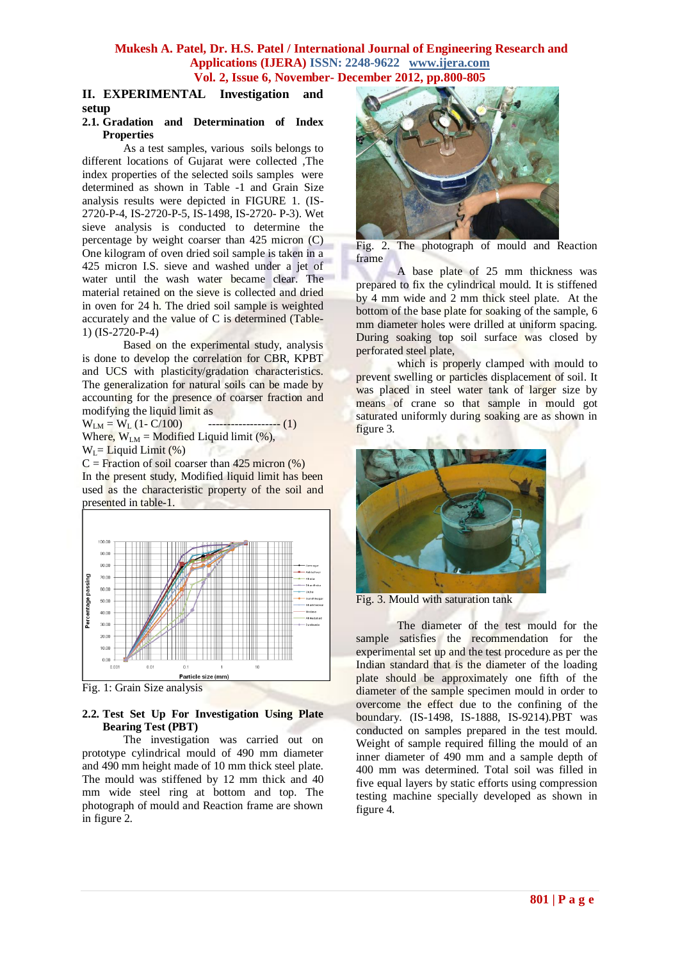### **II. EXPERIMENTAL Investigation and setup**

#### **2.1. Gradation and Determination of Index Properties**

As a test samples, various soils belongs to different locations of Gujarat were collected ,The index properties of the selected soils samples were determined as shown in Table -1 and Grain Size analysis results were depicted in FIGURE 1. (IS-2720-P-4, IS-2720-P-5, IS-1498, IS-2720- P-3). Wet sieve analysis is conducted to determine the percentage by weight coarser than 425 micron (C) One kilogram of oven dried soil sample is taken in a 425 micron I.S. sieve and washed under a jet of water until the wash water became clear. The material retained on the sieve is collected and dried in oven for 24 h. The dried soil sample is weighted accurately and the value of C is determined (Table-1) (IS-2720-P-4)

Based on the experimental study, analysis is done to develop the correlation for CBR, KPBT and UCS with plasticity/gradation characteristics. The generalization for natural soils can be made by accounting for the presence of coarser fraction and modifying the liquid limit as

 $W_{LM} = W_L (1 - C/100)$  -------------------- (1) Where,  $W_{LM}$  = Modified Liquid limit (%),  $W_l =$  Liquid Limit (%)

 $C =$  Fraction of soil coarser than 425 micron  $(\%)$ In the present study, Modified liquid limit has been used as the characteristic property of the soil and presented in table-1.



Fig. 1: Grain Size analysis

#### **2.2. Test Set Up For Investigation Using Plate Bearing Test (PBT)**

The investigation was carried out on prototype cylindrical mould of 490 mm diameter and 490 mm height made of 10 mm thick steel plate. The mould was stiffened by 12 mm thick and 40 mm wide steel ring at bottom and top. The photograph of mould and Reaction frame are shown in figure 2.



Fig. 2. The photograph of mould and Reaction frame

A base plate of 25 mm thickness was prepared to fix the cylindrical mould. It is stiffened by 4 mm wide and 2 mm thick steel plate. At the bottom of the base plate for soaking of the sample, 6 mm diameter holes were drilled at uniform spacing. During soaking top soil surface was closed by perforated steel plate,

which is properly clamped with mould to prevent swelling or particles displacement of soil. It was placed in steel water tank of larger size by means of crane so that sample in mould got saturated uniformly during soaking are as shown in figure 3.



Fig. 3. Mould with saturation tank

The diameter of the test mould for the sample satisfies the recommendation for the experimental set up and the test procedure as per the Indian standard that is the diameter of the loading plate should be approximately one fifth of the diameter of the sample specimen mould in order to overcome the effect due to the confining of the boundary. (IS-1498, IS-1888, IS-9214).PBT was conducted on samples prepared in the test mould. Weight of sample required filling the mould of an inner diameter of 490 mm and a sample depth of 400 mm was determined. Total soil was filled in five equal layers by static efforts using compression testing machine specially developed as shown in figure 4.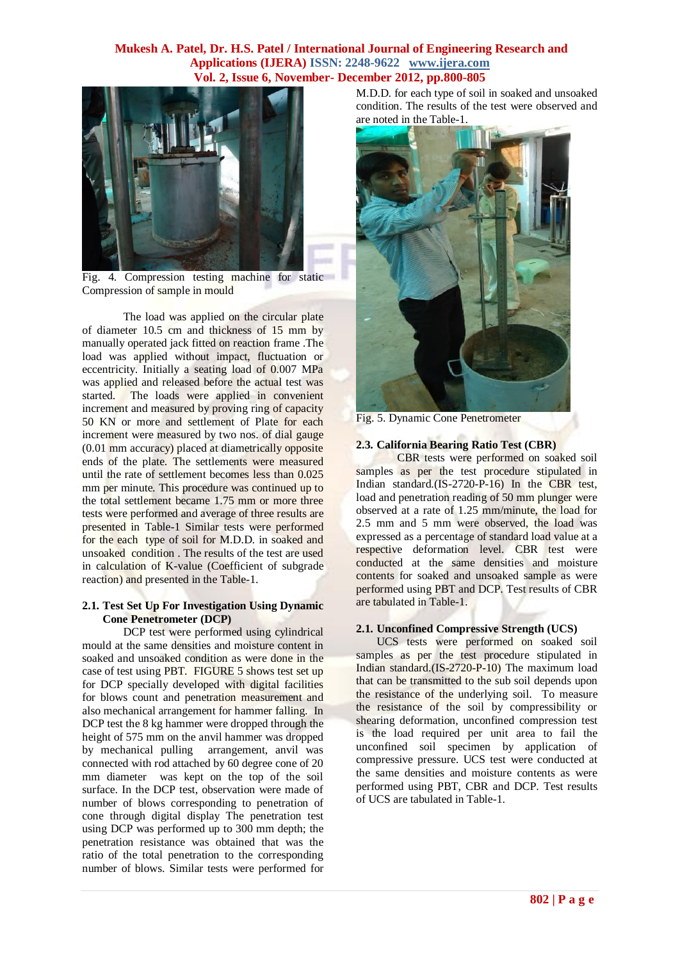

Fig. 4. Compression testing machine for static Compression of sample in mould

The load was applied on the circular plate of diameter 10.5 cm and thickness of 15 mm by manually operated jack fitted on reaction frame .The load was applied without impact, fluctuation or eccentricity. Initially a seating load of 0.007 MPa was applied and released before the actual test was started. The loads were applied in convenient increment and measured by proving ring of capacity 50 KN or more and settlement of Plate for each increment were measured by two nos. of dial gauge (0.01 mm accuracy) placed at diametrically opposite ends of the plate. The settlements were measured until the rate of settlement becomes less than 0.025 mm per minute. This procedure was continued up to the total settlement became 1.75 mm or more three tests were performed and average of three results are presented in Table-1 Similar tests were performed for the each type of soil for M.D.D. in soaked and unsoaked condition . The results of the test are used in calculation of K-value (Coefficient of subgrade reaction) and presented in the Table-1.

#### **2.1. Test Set Up For Investigation Using Dynamic Cone Penetrometer (DCP)**

DCP test were performed using cylindrical mould at the same densities and moisture content in soaked and unsoaked condition as were done in the case of test using PBT. FIGURE 5 shows test set up for DCP specially developed with digital facilities for blows count and penetration measurement and also mechanical arrangement for hammer falling. In DCP test the 8 kg hammer were dropped through the height of 575 mm on the anvil hammer was dropped by mechanical pulling arrangement, anvil was connected with rod attached by 60 degree cone of 20 mm diameter was kept on the top of the soil surface. In the DCP test, observation were made of number of blows corresponding to penetration of cone through digital display The penetration test using DCP was performed up to 300 mm depth; the penetration resistance was obtained that was the ratio of the total penetration to the corresponding number of blows. Similar tests were performed for M.D.D. for each type of soil in soaked and unsoaked condition. The results of the test were observed and are noted in the Table-1.



Fig. 5. Dynamic Cone Penetrometer

#### **2.3. California Bearing Ratio Test (CBR)**

CBR tests were performed on soaked soil samples as per the test procedure stipulated in Indian standard.(IS-2720-P-16) In the CBR test, load and penetration reading of 50 mm plunger were observed at a rate of 1.25 mm/minute, the load for 2.5 mm and 5 mm were observed, the load was expressed as a percentage of standard load value at a respective deformation level. CBR test were conducted at the same densities and moisture contents for soaked and unsoaked sample as were performed using PBT and DCP. Test results of CBR are tabulated in Table-1.

#### **2.1. Unconfined Compressive Strength (UCS)**

UCS tests were performed on soaked soil samples as per the test procedure stipulated in Indian standard.(IS-2720-P-10) The maximum load that can be transmitted to the sub soil depends upon the resistance of the underlying soil. To measure the resistance of the soil by compressibility or shearing deformation, unconfined compression test is the load required per unit area to fail the unconfined soil specimen by application of compressive pressure. UCS test were conducted at the same densities and moisture contents as were performed using PBT, CBR and DCP. Test results of UCS are tabulated in Table-1.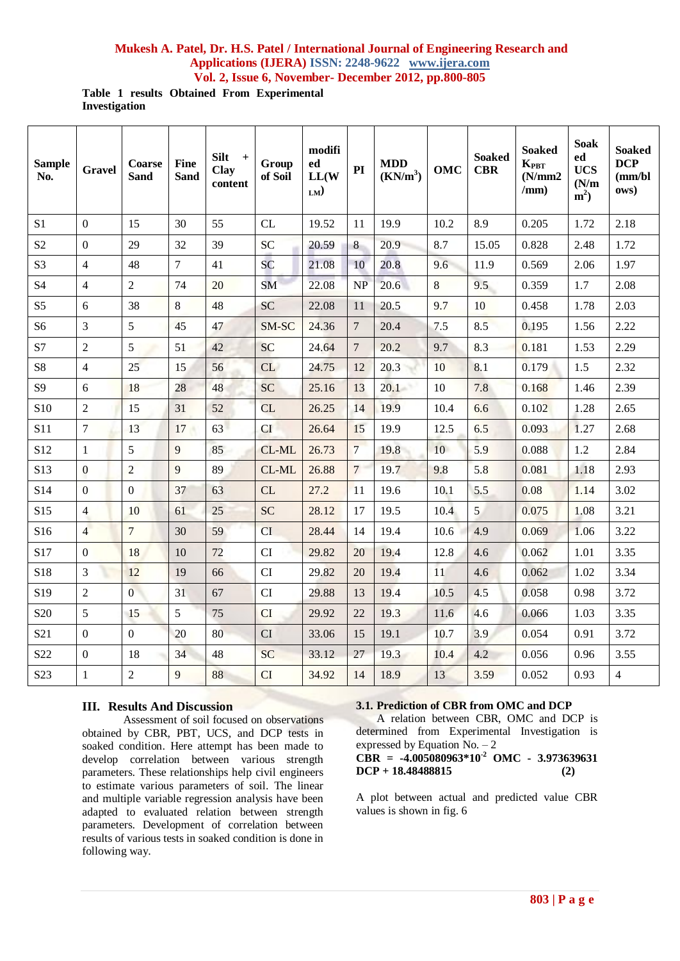**Table 1 results Obtained From Experimental Investigation**

| <b>Sample</b><br>No. | <b>Gravel</b>    | Coarse<br><b>Sand</b> | <b>Fine</b><br><b>Sand</b> | <b>Silt</b><br>$+$<br>Clay<br>content | Group<br>of Soil | modifi<br>ed<br>LL(W)<br>$LM$ ) | PI              | <b>MDD</b><br>$(KN/m^3)$ | OMC  | <b>Soaked</b><br><b>CBR</b> | <b>Soaked</b><br>$\mathbf{K}_{\text{PBT}}$<br>(N/mm2)<br>/mm) | <b>Soak</b><br>ed<br><b>UCS</b><br>(N/m)<br>$m2$ ) | <b>Soaked</b><br><b>DCP</b><br>(mm/b)<br>ows) |
|----------------------|------------------|-----------------------|----------------------------|---------------------------------------|------------------|---------------------------------|-----------------|--------------------------|------|-----------------------------|---------------------------------------------------------------|----------------------------------------------------|-----------------------------------------------|
| S1                   | $\mathbf{0}$     | 15                    | 30                         | 55                                    | CL               | 19.52                           | 11              | 19.9                     | 10.2 | 8.9                         | 0.205                                                         | 1.72                                               | 2.18                                          |
| S <sub>2</sub>       | $\boldsymbol{0}$ | 29                    | 32                         | 39                                    | SC               | 20.59                           | 8               | 20.9                     | 8.7  | 15.05                       | 0.828                                                         | 2.48                                               | 1.72                                          |
| S <sub>3</sub>       | $\overline{4}$   | 48                    | $\overline{7}$             | 41                                    | <b>SC</b>        | 21.08                           | 10              | 20.8                     | 9.6  | 11.9                        | 0.569                                                         | 2.06                                               | 1.97                                          |
| <b>S4</b>            | $\overline{4}$   | $\overline{2}$        | 74                         | 20                                    | <b>SM</b>        | 22.08                           | <b>NP</b>       | 20.6                     | 8    | 9.5                         | 0.359                                                         | 1.7                                                | 2.08                                          |
| S <sub>5</sub>       | 6                | 38                    | 8                          | 48                                    | <b>SC</b>        | 22.08                           | 11              | 20.5                     | 9.7  | 10                          | 0.458                                                         | 1.78                                               | 2.03                                          |
| S <sub>6</sub>       | 3                | 5                     | 45                         | 47                                    | SM-SC            | 24.36                           | $\overline{7}$  | 20.4                     | 7.5  | 8.5                         | 0.195                                                         | 1.56                                               | 2.22                                          |
| S7                   | $\overline{2}$   | 5                     | 51                         | 42                                    | <b>SC</b>        | 24.64                           | $7\phantom{.0}$ | 20.2                     | 9.7  | 8.3                         | 0.181                                                         | 1.53                                               | 2.29                                          |
| S8                   | $\overline{4}$   | 25                    | 15                         | 56                                    | CL               | 24.75                           | 12              | 20.3                     | 10   | 8.1                         | 0.179                                                         | 1.5                                                | 2.32                                          |
| S <sub>9</sub>       | 6                | 18                    | 28                         | 48                                    | <b>SC</b>        | 25.16                           | 13              | 20.1                     | 10   | 7.8                         | 0.168                                                         | 1.46                                               | 2.39                                          |
| S10                  | $\overline{2}$   | 15                    | 31                         | 52                                    | <b>CL</b>        | 26.25                           | 14              | 19.9                     | 10.4 | 6.6                         | 0.102                                                         | 1.28                                               | 2.65                                          |
| <b>S11</b>           | $\boldsymbol{7}$ | 13                    | 17                         | 63                                    | <b>CI</b>        | 26.64                           | 15              | 19.9                     | 12.5 | 6.5                         | 0.093                                                         | 1.27                                               | 2.68                                          |
| S <sub>12</sub>      | $\mathbf{1}$     | 5                     | 9                          | 85                                    | CL-ML            | 26.73                           | $\overline{7}$  | 19.8                     | 10   | 5.9                         | 0.088                                                         | 1.2                                                | 2.84                                          |
| S13                  | $\mathbf{0}$     | $\overline{2}$        | 9                          | 89                                    | CL-ML            | 26.88                           | $7\phantom{.0}$ | 19.7                     | 9.8  | 5.8                         | 0.081                                                         | 1.18                                               | 2.93                                          |
| S14                  | $\mathbf{0}$     | $\boldsymbol{0}$      | 37                         | 63                                    | CL               | 27.2                            | <sup>11</sup>   | 19.6                     | 10.1 | 5.5                         | 0.08                                                          | 1.14                                               | 3.02                                          |
| S15                  | $\overline{4}$   | 10                    | 61                         | 25                                    | <b>SC</b>        | 28.12                           | 17              | 19.5                     | 10.4 | 5                           | 0.075                                                         | 1.08                                               | 3.21                                          |
| S16                  | $\overline{4}$   | $7\phantom{.0}$       | 30                         | 59                                    | <b>CI</b>        | 28.44                           | 14              | 19.4                     | 10.6 | 4.9                         | 0.069                                                         | 1.06                                               | 3.22                                          |
| S17                  | $\overline{0}$   | 18                    | 10                         | 72                                    | CI               | 29.82                           | 20              | 19.4                     | 12.8 | 4.6                         | 0.062                                                         | 1.01                                               | 3.35                                          |
| S18                  | 3                | 12                    | 19                         | 66                                    | CI               | 29.82                           | 20              | 19.4                     | 11   | 4.6                         | 0.062                                                         | 1.02                                               | 3.34                                          |
| S19                  | $\overline{2}$   | $\overline{0}$        | 31                         | 67                                    | CI               | 29.88                           | 13              | 19.4                     | 10.5 | 4.5                         | 0.058                                                         | 0.98                                               | 3.72                                          |
| S <sub>20</sub>      | 5                | 15                    | 5                          | 75                                    | CI               | 29.92                           | 22              | 19.3                     | 11.6 | 4.6                         | 0.066                                                         | 1.03                                               | 3.35                                          |
| S <sub>21</sub>      | $\boldsymbol{0}$ | $\boldsymbol{0}$      | 20                         | 80                                    | CI               | 33.06                           | 15              | 19.1                     | 10.7 | 3.9                         | 0.054                                                         | 0.91                                               | 3.72                                          |
| S22                  | $\boldsymbol{0}$ | 18                    | 34                         | 48                                    | <b>SC</b>        | 33.12                           | 27              | 19.3                     | 10.4 | 4.2                         | 0.056                                                         | 0.96                                               | 3.55                                          |
| S23                  | $\mathbf{1}$     | $\overline{2}$        | 9                          | 88                                    | CI               | 34.92                           | 14              | 18.9                     | 13   | 3.59                        | 0.052                                                         | 0.93                                               | $\overline{4}$                                |

#### **III. Results And Discussion**

Assessment of soil focused on observations obtained by CBR, PBT, UCS, and DCP tests in soaked condition. Here attempt has been made to develop correlation between various strength parameters. These relationships help civil engineers to estimate various parameters of soil. The linear and multiple variable regression analysis have been adapted to evaluated relation between strength parameters. Development of correlation between results of various tests in soaked condition is done in following way.

#### **3.1. Prediction of CBR from OMC and DCP**

A relation between CBR, OMC and DCP is determined from Experimental Investigation is expressed by Equation No.  $-2$ **CBR = -4.005080963\*10-2 OMC - 3.973639631** 

$$
DCP + 18.48488815
$$
 (2)

A plot between actual and predicted value CBR values is shown in fig. 6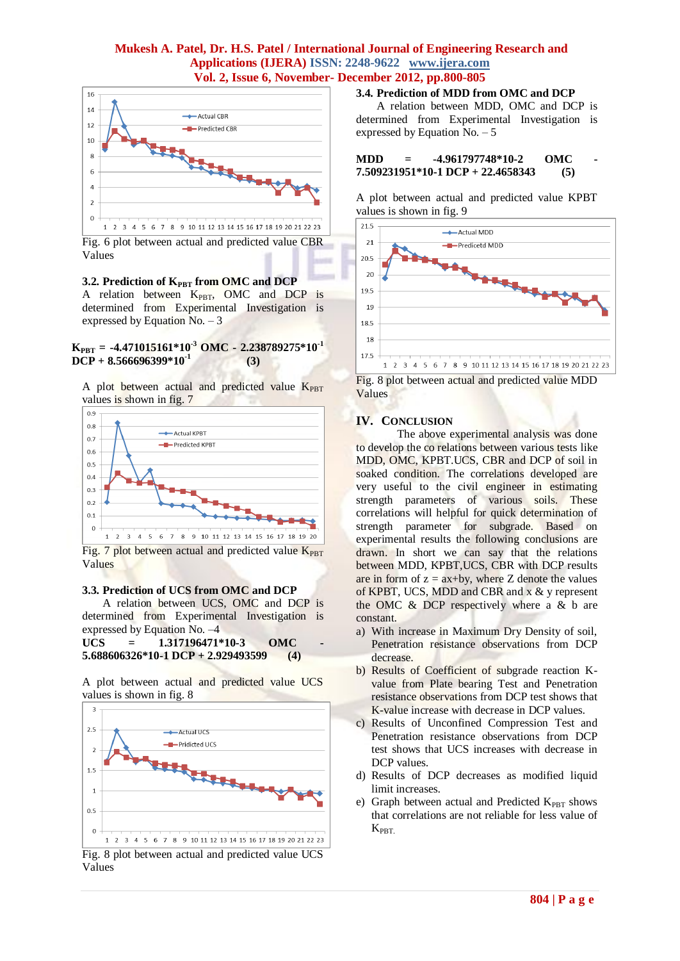

Fig. 6 plot between actual and predicted value CBR Values

#### **3.2. Prediction of KPBT from OMC and DCP**

A relation between K<sub>PBT</sub>, OMC and DCP is determined from Experimental Investigation is expressed by Equation No.  $-3$ 

#### **KPBT = -4.471015161\*10-3 OMC - 2.238789275\*10-1 DCP + 8.566696399\*10-1 (3)**

A plot between actual and predicted value  $K_{PBT}$ values is shown in fig. 7



Fig. 7 plot between actual and predicted value  $K_{PBT}$ Values

#### **3.3. Prediction of UCS from OMC and DCP**

A relation between UCS, OMC and DCP is determined from Experimental Investigation is expressed by Equation No. –4

 $UCS = 1.317196471*10-3$  OMC **5.688606326\*10-1 DCP + 2.929493599 (4)**

A plot between actual and predicted value UCS values is shown in fig. 8



Fig. 8 plot between actual and predicted value UCS Values

#### **3.4. Prediction of MDD from OMC and DCP**

A relation between MDD, OMC and DCP is determined from Experimental Investigation is expressed by Equation No.  $-5$ 

#### **MDD** = -4.961797748\*10-2 OMC **7.509231951\*10-1 DCP + 22.4658343 (5)**

A plot between actual and predicted value KPBT values is shown in fig. 9



Fig. 8 plot between actual and predicted value MDD Values

#### **IV. CONCLUSION**

The above experimental analysis was done to develop the co relations between various tests like MDD, OMC, KPBT.UCS, CBR and DCP of soil in soaked condition. The correlations developed are very useful to the civil engineer in estimating strength parameters of various soils. These correlations will helpful for quick determination of strength parameter for subgrade. Based on experimental results the following conclusions are drawn. In short we can say that the relations between MDD, KPBT,UCS, CBR with DCP results are in form of  $z = ax+by$ , where Z denote the values of KPBT, UCS, MDD and CBR and x & y represent the OMC & DCP respectively where a & b are constant.

- a) With increase in Maximum Dry Density of soil, Penetration resistance observations from DCP decrease.
- b) Results of Coefficient of subgrade reaction Kvalue from Plate bearing Test and Penetration resistance observations from DCP test shows that K-value increase with decrease in DCP values.
- c) Results of Unconfined Compression Test and Penetration resistance observations from DCP test shows that UCS increases with decrease in DCP values.
- d) Results of DCP decreases as modified liquid limit increases.
- e) Graph between actual and Predicted  $K_{PBT}$  shows that correlations are not reliable for less value of  $K_{\rm PBT}$